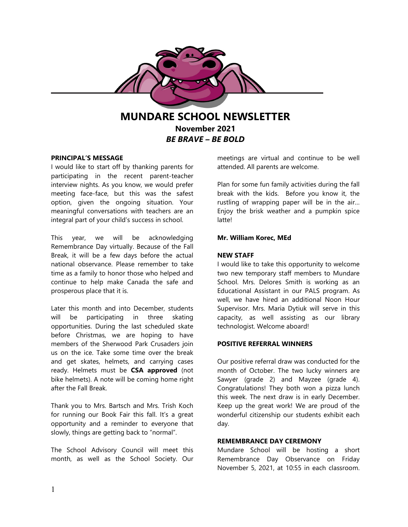

**MUNDARE SCHOOL NEWSLETTER November 2021** *BE BRAVE – BE BOLD*

# **PRINCIPAL'S MESSAGE**

I would like to start off by thanking parents for participating in the recent parent-teacher interview nights. As you know, we would prefer meeting face-face, but this was the safest option, given the ongoing situation. Your meaningful conversations with teachers are an integral part of your child's success in school.

This year, we will be acknowledging Remembrance Day virtually. Because of the Fall Break, it will be a few days before the actual national observance. Please remember to take time as a family to honor those who helped and continue to help make Canada the safe and prosperous place that it is.

Later this month and into December, students will be participating in three skating opportunities. During the last scheduled skate before Christmas, we are hoping to have members of the Sherwood Park Crusaders join us on the ice. Take some time over the break and get skates, helmets, and carrying cases ready. Helmets must be **CSA approved** (not bike helmets). A note will be coming home right after the Fall Break.

Thank you to Mrs. Bartsch and Mrs. Trish Koch for running our Book Fair this fall. It's a great opportunity and a reminder to everyone that slowly, things are getting back to "normal".

The School Advisory Council will meet this month, as well as the School Society. Our meetings are virtual and continue to be well attended. All parents are welcome.

Plan for some fun family activities during the fall break with the kids. Before you know it, the rustling of wrapping paper will be in the air… Enjoy the brisk weather and a pumpkin spice latte!

# **Mr. William Korec, MEd**

# **NEW STAFF**

I would like to take this opportunity to welcome two new temporary staff members to Mundare School. Mrs. Delores Smith is working as an Educational Assistant in our PALS program. As well, we have hired an additional Noon Hour Supervisor. Mrs. Maria Dytiuk will serve in this capacity, as well assisting as our library technologist. Welcome aboard!

# **POSITIVE REFERRAL WINNERS**

Our positive referral draw was conducted for the month of October. The two lucky winners are Sawyer (grade 2) and Mayzee (grade 4). Congratulations! They both won a pizza lunch this week. The next draw is in early December. Keep up the great work! We are proud of the wonderful citizenship our students exhibit each day.

# **REMEMBRANCE DAY CEREMONY**

Mundare School will be hosting a short Remembrance Day Observance on Friday November 5, 2021, at 10:55 in each classroom.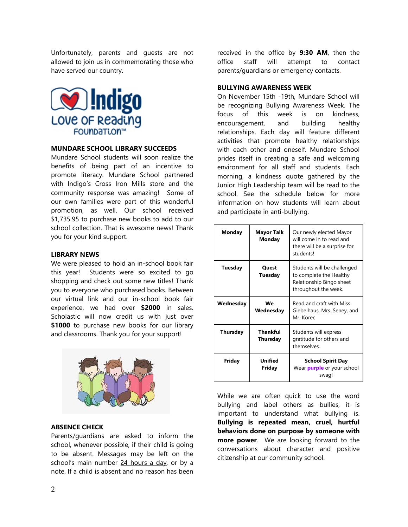Unfortunately, parents and guests are not allowed to join us in commemorating those who have served our country.



## **MUNDARE SCHOOL LIBRARY SUCCEEDS**

Mundare School students will soon realize the benefits of being part of an incentive to promote literacy. Mundare School partnered with Indigo's Cross Iron Mills store and the community response was amazing! Some of our own families were part of this wonderful promotion, as well. Our school received \$1,735.95 to purchase new books to add to our school collection. That is awesome news! Thank you for your kind support.

## **LIBRARY NEWS**

We were pleased to hold an in-school book fair this year! Students were so excited to go shopping and check out some new titles! Thank you to everyone who purchased books. Between our virtual link and our in-school book fair experience, we had over **\$2000** in sales. Scholastic will now credit us with just over \$1000 to purchase new books for our library and classrooms. Thank you for your support!



## **ABSENCE CHECK**

Parents/guardians are asked to inform the school, whenever possible, if their child is going to be absent. Messages may be left on the school's main number 24 hours a day, or by a note. If a child is absent and no reason has been

received in the office by **9:30 AM**, then the office staff will attempt to contact parents/guardians or emergency contacts.

## **BULLYING AWARENESS WEEK**

On November 15th -19th, Mundare School will be recognizing Bullying Awareness Week. The focus of this week is on kindness, encouragement, and building healthy relationships. Each day will feature different activities that promote healthy relationships with each other and oneself. Mundare School prides itself in creating a safe and welcoming environment for all staff and students. Each morning, a kindness quote gathered by the Junior High Leadership team will be read to the school. See the schedule below for more information on how students will learn about and participate in anti-bullying.

| Monday    | <b>Mayor Talk</b><br>Monday | Our newly elected Mayor<br>will come in to read and<br>there will be a surprise for<br>students!           |
|-----------|-----------------------------|------------------------------------------------------------------------------------------------------------|
| Tuesday   | <b>Quest</b><br>Tuesday     | Students will be challenged<br>to complete the Healthy<br>Relationship Bingo sheet<br>throughout the week. |
| Wednesday | We<br>Wednesday             | Read and craft with Miss<br>Giebelhaus, Mrs. Seney, and<br>Mr. Korec                                       |
| Thursday  | Thankful<br>Thursday        | Students will express<br>gratitude for others and<br>themselves.                                           |
| Friday    | Unified<br>Friday           | <b>School Spirit Day</b><br>Wear <b>purple</b> or your school<br>swag!                                     |

While we are often quick to use the word bullying and label others as bullies, it is important to understand what bullying is. **Bullying is repeated mean, cruel, hurtful behaviors done on purpose by someone with more power**. We are looking forward to the conversations about character and positive citizenship at our community school.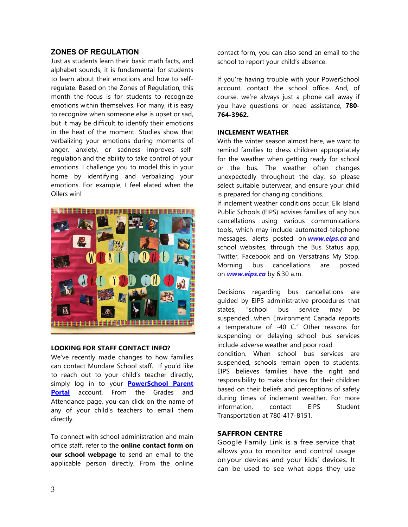# **ZONES OF REGULATION**

Just as students learn their basic math facts, and alphabet sounds, it is fundamental for students to learn about their emotions and how to selfregulate. Based on the Zones of Regulation, this month the focus is for students to recognize emotions within themselves. For many, it is easy to recognize when someone else is upset or sad, but it may be difficult to identify their emotions in the heat of the moment. Studies show that verbalizing your emotions during moments of anger, anxiety, or sadness improves selfregulation and the ability to take control of your emotions. I challenge you to model this in your home by identifying and verbalizing your emotions. For example, I feel elated when the Oilers win!



# **LOOKING FOR STAFF CONTACT INFO?**

We've recently made changes to how families can contact Mundare School staff. If you'd like to reach out to your child's teacher directly, simply log in to your **[PowerSchool Parent](https://powerschool.eips.ca/public/home.html)  [Portal](https://powerschool.eips.ca/public/home.html)** account. From the Grades and Attendance page, you can click on the name of any of your child's teachers to email them directly.

To connect with school administration and main office staff, refer to the **online contact form on our school webpage** to send an email to the applicable person directly. From the online contact form, you can also send an email to the school to report your child's absence.

If you're having trouble with your PowerSchool account, contact the school office. And, of course, we're always just a phone call away if you have questions or need assistance, **780- 764-3962.**

# **INCLEMENT WEATHER**

With the winter season almost here, we want to remind families to dress children appropriately for the weather when getting ready for school or the bus. The weather often changes unexpectedly throughout the day, so please select suitable outerwear, and ensure your child is prepared for changing conditions.

If inclement weather conditions occur, Elk Island Public Schools (EIPS) advises families of any bus cancellations using various communications tools, which may include automated-telephone messages, alerts posted on *[www.eips.ca](http://www.eips.ca/)* and school websites, through the Bus Status app, Twitter, Facebook and on Versatrans My Stop. Morning bus cancellations are posted on *[www.eips.ca](http://www.eips.ca/)* by 6:30 a.m.

Decisions regarding bus cancellations are guided by EIPS administrative procedures that states, "school bus service may be suspended…when Environment Canada reports a temperature of -40 C." Other reasons for suspending or delaying school bus services include adverse weather and poor road condition. When school bus services are suspended, schools remain open to students. EIPS believes families have the right and responsibility to make choices for their children based on their beliefs and perceptions of safety during times of inclement weather. For more information, contact EIPS Student Transportation at 780-417-8151.

# **SAFFRON CENTRE**

Google Family Link is a free service that allows you to monitor and control usage on your devices and your kids' devices. It can be used to see what apps they use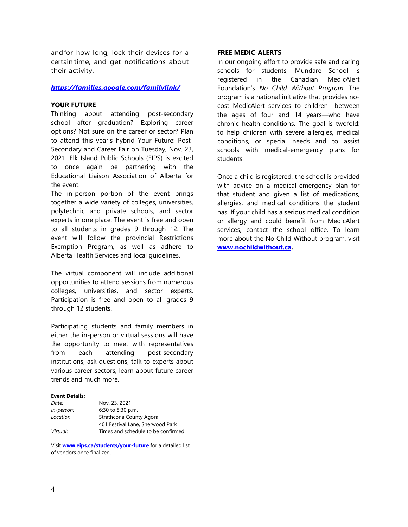andfor how long, lock their devices for a certain time, and get notifications about their activity.

## *<https://families.google.com/familylink/>*

# **YOUR FUTURE**

Thinking about attending post-secondary school after graduation? Exploring career options? Not sure on the career or sector? Plan to attend this year's hybrid Your Future: Post-Secondary and Career Fair on Tuesday, Nov. 23, 2021. Elk Island Public Schools (EIPS) is excited to once again be partnering with the Educational Liaison Association of Alberta for the event.

The in-person portion of the event brings together a wide variety of colleges, universities, polytechnic and private schools, and sector experts in one place. The event is free and open to all students in grades 9 through 12. The event will follow the provincial Restrictions Exemption Program, as well as adhere to Alberta Health Services and local guidelines.

The virtual component will include additional opportunities to attend sessions from numerous colleges, universities, and sector experts. Participation is free and open to all grades 9 through 12 students.

Participating students and family members in either the in-person or virtual sessions will have the opportunity to meet with representatives from each attending post-secondary institutions, ask questions, talk to experts about various career sectors, learn about future career trends and much more.

#### **Event Details:**

| Date:      | Nov. 23, 2021                      |  |  |  |  |
|------------|------------------------------------|--|--|--|--|
| In-person: | 6:30 to 8:30 p.m.                  |  |  |  |  |
| Location:  | Strathcona County Agora            |  |  |  |  |
|            | 401 Festival Lane, Sherwood Park   |  |  |  |  |
| Virtual:   | Times and schedule to be confirmed |  |  |  |  |

Visit **[www.eips.ca/students/your-future](http://www.eips.ca/students/your-future)** for a detailed list of vendors once finalized.

### **FREE MEDIC-ALERTS**

In our ongoing effort to provide safe and caring schools for students, Mundare School is registered in the Canadian MedicAlert Foundation's *No Child Without Program*. The program is a national initiative that provides nocost MedicAlert services to children—between the ages of four and 14 years—who have chronic health conditions. The goal is twofold: to help children with severe allergies, medical conditions, or special needs and to assist schools with medical-emergency plans for students.

Once a child is registered, the school is provided with advice on a medical-emergency plan for that student and given a list of medications, allergies, and medical conditions the student has. If your child has a serious medical condition or allergy and could benefit from MedicAlert services, contact the school office. To learn more about the No Child Without program, visit **[www.nochildwithout.ca.](http://www.nochildwithout.ca/)**